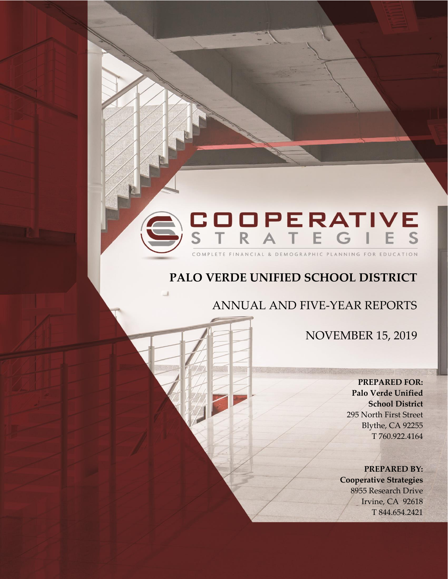# COOPERATIVE<br>STRATEGIES FE FINANCIAL & DEMOGRAPHIC PLANNING FOR EDUCAT

# **PALO VERDE UNIFIED SCHOOL DISTRICT**

ANNUAL AND FIVE-YEAR REPORTS

NOVEMBER 15, 2019

**PREPARED FOR: Palo Verde Unified School District** 295 North First Street Blythe, CA 92255 T 760.922.4164

**PREPARED BY: Cooperative Strategies** 8955 Research Drive Irvine, CA 92618 T 844.654.2421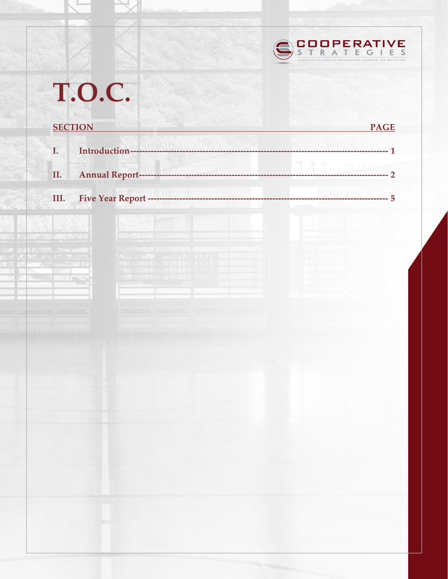

|                        | <b>SECTION</b>    | <b>PAGE</b> |
|------------------------|-------------------|-------------|
| I.                     |                   |             |
| II.                    |                   |             |
| III.                   |                   |             |
| <b>DESCRIPTION</b>     |                   |             |
| <b>TAN CONTRACT</b>    | 13-49364952       |             |
| <b>PARTS WAS TOTAL</b> |                   |             |
| <b>SERVIT TAT</b>      | MINNESIG IN CIVIL |             |
|                        |                   |             |
|                        |                   |             |
|                        |                   |             |
|                        |                   |             |
|                        |                   |             |
|                        |                   |             |
|                        |                   |             |
|                        |                   |             |
|                        |                   |             |
|                        |                   |             |
|                        |                   |             |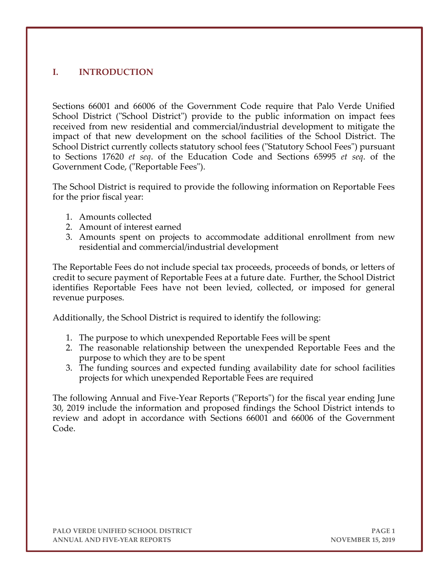# **I. INTRODUCTION**

Sections 66001 and 66006 of the Government Code require that Palo Verde Unified School District ("School District") provide to the public information on impact fees received from new residential and commercial/industrial development to mitigate the impact of that new development on the school facilities of the School District. The School District currently collects statutory school fees ("Statutory School Fees") pursuant to Sections 17620 *et seq*. of the Education Code and Sections 65995 *et seq*. of the Government Code, ("Reportable Fees").

The School District is required to provide the following information on Reportable Fees for the prior fiscal year:

- 1. Amounts collected
- 2. Amount of interest earned
- 3. Amounts spent on projects to accommodate additional enrollment from new residential and commercial/industrial development

The Reportable Fees do not include special tax proceeds, proceeds of bonds, or letters of credit to secure payment of Reportable Fees at a future date. Further, the School District identifies Reportable Fees have not been levied, collected, or imposed for general revenue purposes.

Additionally, the School District is required to identify the following:

- 1. The purpose to which unexpended Reportable Fees will be spent
- 2. The reasonable relationship between the unexpended Reportable Fees and the purpose to which they are to be spent
- 3. The funding sources and expected funding availability date for school facilities projects for which unexpended Reportable Fees are required

The following Annual and Five-Year Reports ("Reports") for the fiscal year ending June 30, 2019 include the information and proposed findings the School District intends to review and adopt in accordance with Sections 66001 and 66006 of the Government Code.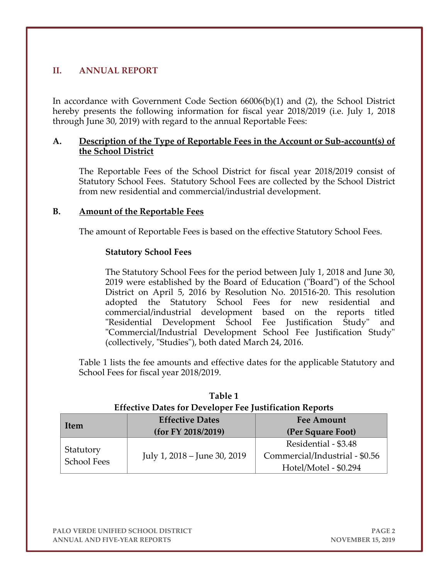# **II. ANNUAL REPORT**

In accordance with Government Code Section 66006(b)(1) and (2), the School District hereby presents the following information for fiscal year 2018/2019 (i.e. July 1, 2018 through June 30, 2019) with regard to the annual Reportable Fees:

#### **A. Description of the Type of Reportable Fees in the Account or Sub-account(s) of the School District**

The Reportable Fees of the School District for fiscal year 2018/2019 consist of Statutory School Fees. Statutory School Fees are collected by the School District from new residential and commercial/industrial development.

#### **B. Amount of the Reportable Fees**

The amount of Reportable Fees is based on the effective Statutory School Fees.

#### **Statutory School Fees**

The Statutory School Fees for the period between July 1, 2018 and June 30, 2019 were established by the Board of Education ("Board") of the School District on April 5, 2016 by Resolution No. 201516-20. This resolution adopted the Statutory School Fees for new residential and commercial/industrial development based on the reports titled "Residential Development School Fee Justification Study" and "Commercial/Industrial Development School Fee Justification Study" (collectively, "Studies"), both dated March 24, 2016.

Table 1 lists the fee amounts and effective dates for the applicable Statutory and School Fees for fiscal year 2018/2019.

| Item                            | <b>Effective Dates</b><br>(for FY 2018/2019) | <b>Fee Amount</b><br>(Per Square Foot)                 |
|---------------------------------|----------------------------------------------|--------------------------------------------------------|
| Statutory<br><b>School Fees</b> | July 1, 2018 – June 30, 2019                 | Residential - \$3.48<br>Commercial/Industrial - \$0.56 |
|                                 |                                              | Hotel/Motel - \$0.294                                  |

| Table 1                                                        |
|----------------------------------------------------------------|
| <b>Effective Dates for Developer Fee Justification Reports</b> |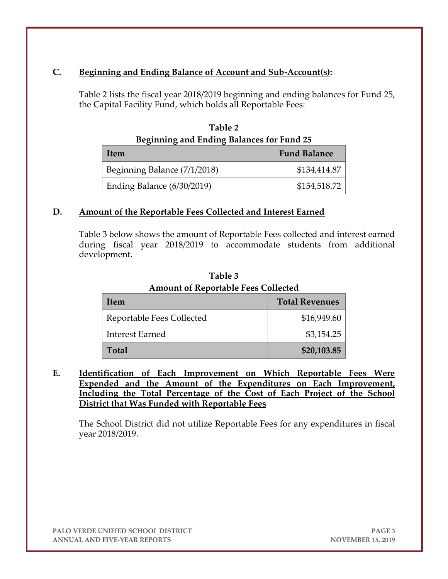# **C. Beginning and Ending Balance of Account and Sub-Account(s):**

Table 2 lists the fiscal year 2018/2019 beginning and ending balances for Fund 25, the Capital Facility Fund, which holds all Reportable Fees:

| <b>Beginning and Ending Balances for Fund 25</b> |                     |  |
|--------------------------------------------------|---------------------|--|
| Item                                             | <b>Fund Balance</b> |  |
| Beginning Balance (7/1/2018)                     | \$134,414.87        |  |
| Ending Balance (6/30/2019)                       | \$154,518.72        |  |

**Table 2**

#### **D. Amount of the Reportable Fees Collected and Interest Earned**

Table 3 below shows the amount of Reportable Fees collected and interest earned during fiscal year 2018/2019 to accommodate students from additional development.

| Item                      | <b>Total Revenues</b> |  |
|---------------------------|-----------------------|--|
| Reportable Fees Collected | \$16,949.60           |  |
| <b>Interest Earned</b>    | \$3,154.25            |  |
| <b>Total</b>              | \$20,103.85           |  |

**Table 3 Amount of Reportable Fees Collected**

**E. Identification of Each Improvement on Which Reportable Fees Were Expended and the Amount of the Expenditures on Each Improvement, Including the Total Percentage of the Cost of Each Project of the School District that Was Funded with Reportable Fees**

The School District did not utilize Reportable Fees for any expenditures in fiscal year 2018/2019.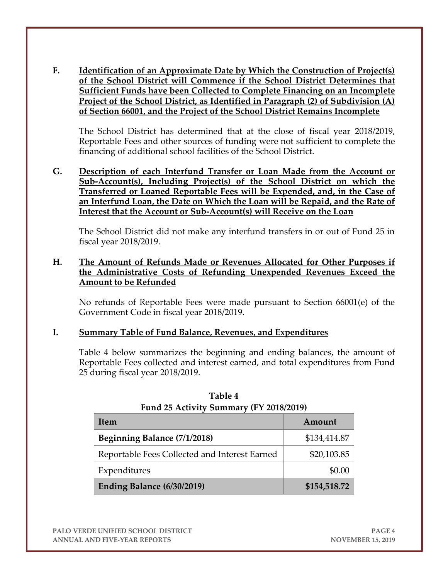**F. Identification of an Approximate Date by Which the Construction of Project(s) of the School District will Commence if the School District Determines that Sufficient Funds have been Collected to Complete Financing on an Incomplete Project of the School District, as Identified in Paragraph (2) of Subdivision (A) of Section 66001, and the Project of the School District Remains Incomplete**

The School District has determined that at the close of fiscal year 2018/2019, Reportable Fees and other sources of funding were not sufficient to complete the financing of additional school facilities of the School District.

**G. Description of each Interfund Transfer or Loan Made from the Account or Sub-Account(s), Including Project(s) of the School District on which the Transferred or Loaned Reportable Fees will be Expended, and, in the Case of an Interfund Loan, the Date on Which the Loan will be Repaid, and the Rate of Interest that the Account or Sub-Account(s) will Receive on the Loan**

The School District did not make any interfund transfers in or out of Fund 25 in fiscal year 2018/2019.

#### **H. The Amount of Refunds Made or Revenues Allocated for Other Purposes if the Administrative Costs of Refunding Unexpended Revenues Exceed the Amount to be Refunded**

No refunds of Reportable Fees were made pursuant to Section 66001(e) of the Government Code in fiscal year 2018/2019.

#### **I. Summary Table of Fund Balance, Revenues, and Expenditures**

Table 4 below summarizes the beginning and ending balances, the amount of Reportable Fees collected and interest earned, and total expenditures from Fund 25 during fiscal year 2018/2019.

| Item                                          | Amount       |
|-----------------------------------------------|--------------|
| Beginning Balance (7/1/2018)                  | \$134,414.87 |
| Reportable Fees Collected and Interest Earned | \$20,103.85  |
| Expenditures                                  | \$0.00       |
| Ending Balance (6/30/2019)                    | \$154,518.72 |

| Table 4                                 |
|-----------------------------------------|
| Fund 25 Activity Summary (FY 2018/2019) |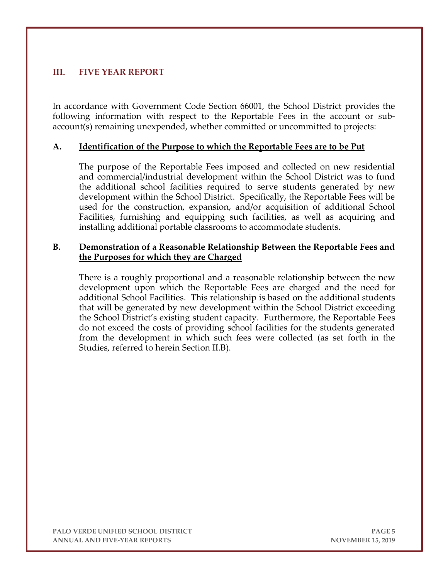# **III. FIVE YEAR REPORT**

In accordance with Government Code Section 66001, the School District provides the following information with respect to the Reportable Fees in the account or subaccount(s) remaining unexpended, whether committed or uncommitted to projects:

#### **A. Identification of the Purpose to which the Reportable Fees are to be Put**

The purpose of the Reportable Fees imposed and collected on new residential and commercial/industrial development within the School District was to fund the additional school facilities required to serve students generated by new development within the School District. Specifically, the Reportable Fees will be used for the construction, expansion, and/or acquisition of additional School Facilities, furnishing and equipping such facilities, as well as acquiring and installing additional portable classrooms to accommodate students.

#### **B. Demonstration of a Reasonable Relationship Between the Reportable Fees and the Purposes for which they are Charged**

There is a roughly proportional and a reasonable relationship between the new development upon which the Reportable Fees are charged and the need for additional School Facilities. This relationship is based on the additional students that will be generated by new development within the School District exceeding the School District's existing student capacity. Furthermore, the Reportable Fees do not exceed the costs of providing school facilities for the students generated from the development in which such fees were collected (as set forth in the Studies, referred to herein Section II.B).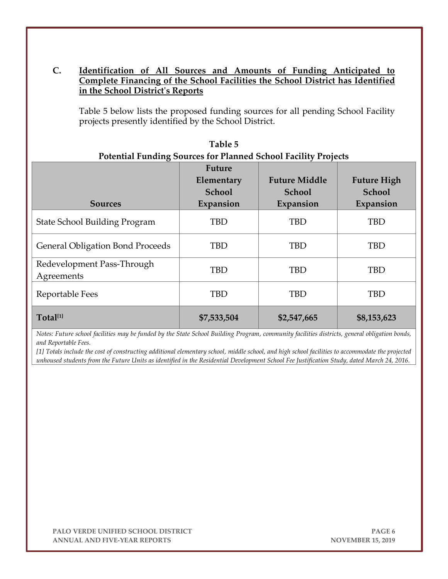# **C. Identification of All Sources and Amounts of Funding Anticipated to Complete Financing of the School Facilities the School District has Identified in the School District's Reports**

Table 5 below lists the proposed funding sources for all pending School Facility projects presently identified by the School District.

| <b>Sources</b>                           | <b>Future</b><br>Elementary<br>School<br>Expansion | <b>Future Middle</b><br>School<br>Expansion | <b>Future High</b><br>School<br>Expansion |
|------------------------------------------|----------------------------------------------------|---------------------------------------------|-------------------------------------------|
| <b>State School Building Program</b>     | <b>TBD</b>                                         | <b>TBD</b>                                  | TBD                                       |
| <b>General Obligation Bond Proceeds</b>  | TBD                                                | <b>TBD</b>                                  | <b>TBD</b>                                |
| Redevelopment Pass-Through<br>Agreements | <b>TBD</b>                                         | TBD                                         | <b>TBD</b>                                |
| Reportable Fees                          | <b>TBD</b>                                         | <b>TBD</b>                                  | <b>TBD</b>                                |
| Total <sup>[1]</sup>                     | \$7,533,504                                        | \$2,547,665                                 | \$8,153,623                               |

| Table 5                                                               |
|-----------------------------------------------------------------------|
| <b>Potential Funding Sources for Planned School Facility Projects</b> |

*Notes: Future school facilities may be funded by the State School Building Program, community facilities districts, general obligation bonds, and Reportable Fees.*

*[1] Totals include the cost of constructing additional elementary school, middle school, and high school facilities to accommodate the projected unhoused students from the Future Units as identified in the Residential Development School Fee Justification Study, dated March 24, 2016.*